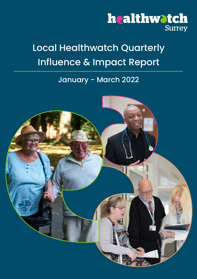# healthwatch Surrey

# Local Healthwatch Quarterly Influence & Impact Report

# January - March 2022

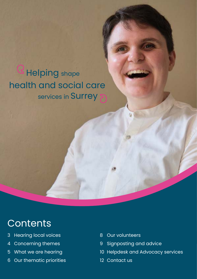# **Helping** shape health and social care services in Surrey

# **Contents**

- Hearing local voices 3
- Concerning themes 4
- What we are hearing 5
- 6 Our thematic priorities
- Our volunteers 8
- Signposting and advice 9
- 10 Helpdesk and Advocacy services
- 12 Contact us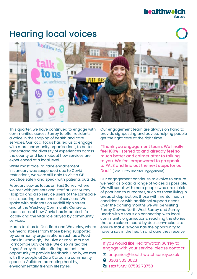# Hearing local voices



This quarter, we have continued to engage with communities across Surrey to offer residents a voice in the shaping of health and care services. Our local focus has led us to engage with more community organisations, to better understand the diversity of experiences across the county and learn about how services are experienced at a local level.

While most face-to-face engagement in January was suspended due to Covid restrictions, we were still able to visit a GP practice safely and speak with patients outside.

February saw us focus on East Surrey, where we met with patients and staff at East Surrey Hospital and also service users of the Earnsdale clinic, hearing experiences of services . We spoke with residents on Redhill high street and at the Westway Community Centre to hear stories of how Covid has impacted life locally and the vital role played by community services.

March took us to Guildford and Waverley, where we heard stories from those being supported by community organisations such as a Food Bank in Cranleigh, The Hive at Park Barn and Farncombe Day Centre. We also visited the Royal Surrey Hospital offering patients the opportunity to provide feedback. Finally, we met with the people at Zero Carbon, a community space in Guildford promoting healthy, environmentally friendly lifestyles.

Our engagement team are always on hand to provide signposting and advice, helping people get the right care at the right time.

"Thank you engagement team. We finally feel 100% listened to and already feel so much better and calmer after to talking to you. We feel empowered to go speak to PALS and find out the next steps for our Dad." (East Surrey Hospital Engagement)

Our engagement continues to evolve to ensure we hear as broad a range of voices as possible. We will speak with more people who are at risk of poor health outcomes, such as those living in areas of deprivation, those with mental health conditions or with additional support needs. Over the coming months we will be visiting Surrey Downs, North West Surrey and Surrey Heath with a focus on connecting with local community organisations, reaching the stories that are seldom heard by decision-makers to ensure that everyone has the opportunity to have a say in the health and care they receive.

If you would like Healthwatch Surrey to engage with your service, please contact:

- $\Xi$  enquiries@healthwatchsurrey.co.uk
- 03 303 0023
- **E** Text/SMS: 07592 78753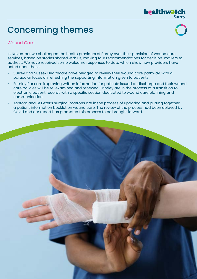### healthwatch **Surrey**

# Concerning themes



## Wound Care

In November we challenged the health providers of Surrey over their provision of wound care services, based on stories shared with us, making four recommendations for decision-makers to address. We have received some welcome responses to date which show how providers have acted upon these:

- Surrey and Sussex Healthcare have pledged to review their wound care pathway, with a particular focus on refreshing the supporting information given to patients
- Frimley Park are improving written information for patients issued at discharge and their wound care policies will be re-examined and renewed. Frimley are in the process of a transition to electronic patient records with a specific section dedicated to wound care planning and communication
- Ashford and St Peter's surgical matrons are in the process of updating and putting together a patient information booklet on wound care. The review of the process had been delayed by Covid and our report has prompted this process to be brought forward.

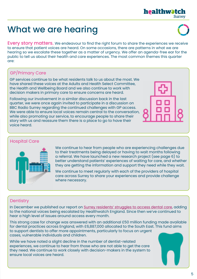# What we are hearing

**Every story matters.** We endeavour to find the right forum to share the experiences we receive to ensure that patient voices are heard. On some occasions, there are patterns in what we are hearing so we escalate these together as a matter of urgency. We offer an agenda-free ear for the public to tell us about their health and care experiences. The most common themes this quarter are:

# GP/Primary Care

GP services continue to be what residents talk to us about the most. We have shared these voices at the Adults and Health Select Committee, the Health and Wellbeing Board and we also continue to work with decision makers in primary care to ensure concerns are heard.

Following our involvement in a similar discussion back in the last quarter, we were once again invited to participate in a discussion on BBC Radio Surrey regarding the continued challenges with GP access. We were able to ensure local voices remain central to the conversation, while also promoting our service, to encourage people to share their story with us and reassure them there is a place to go to have their voice heard.

### Hospital Care

We continue to hear from people who are experiencing challenges due to their treatments being delayed or having to wait months following a referral. We have launched a new research project (see page 6) to better understand patients' experiences of waiting for care, and whether they are getting the information and support they need while they wait.

We continue to meet regularly with each of the providers of hospital care across Surrey to share your experiences and provide challenge where necessary.

### **Dentistry**

In December we published our report on [Surrey residents' struggles to access dental care](https://www.healthwatchsurrey.co.uk/wp-content/uploads/2021/12/Healthwatch-Surrey-Dentistry-Report-December-21.pdf), adding to the national voices being escalated by Healthwatch England. Since then we've continued to hear a high level of issues around access every month.

This strong case for change was answered with an additional £50 million funding made available for dental practices across England, with £6,887,000 allocated to the South East. This fund aims to support dentists to offer more appointments, particularly to focus on urgent cases, vulnerable individuals and children.

While we have noted a slight decline in the number of dentist-related experiences, we continue to hear from those who are not able to get the care they need. We continue to work closely with decision-makers in the system to ensure local voices are heard.







**healthwatc** 



**Surrey** 

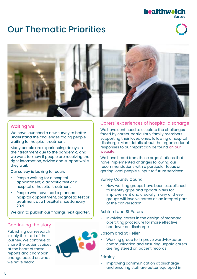### healthwatch **Surrey**

# Our Thematic Priorities



### Waiting well

We have launched a new survey to better understand the challenges facing people waiting for hospital treatment.

Many people are experiencing delays in their treatment due to the pandemic, and we want to know if people are receiving the right information, advice and support while they wait.

Our survey is looking to reach:

- People waiting for a hospital appointment, diagnostic test at a hospital or hospital treatment
- People who have had a planned hospital appointment, diagnostic test or treatment at a hospital since January 2021

We aim to publish our findings next quarter.

### Continuing the story

Publishing our research is only the start of the journey. We continue to share the patient voices at the heart of these reports and champion change based on what we have heard.



### Carers' experiences of hospital discharge

We have continued to escalate the challenges faced by carers, particularly family members supporting their loved ones, following a hospital discharge. More details about the organisational responses to our report can be found [on our](https://www.healthwatchsurrey.co.uk/wp-content/uploads/2022/02/Responses-to-Carers-Experiences-of-Hospital-Discharge-F.pdf)  [website.](https://www.healthwatchsurrey.co.uk/wp-content/uploads/2022/02/Responses-to-Carers-Experiences-of-Hospital-Discharge-F.pdf)

We have heard from those organisations that have implemented changes following our recommendations with a particular focus on getting local people's input to future services:

### Surrey County Council

• New working groups have been established to identify gaps and opportunities for improvement and crucially many of these groups will involve carers as an integral part of the conversation.

### Ashford and St Peters

• Involving carers in the design of standard operating procedure for more effective handover on discharge

### Epsom and St Helier

• Working group to improve ward-to-carer communication and ensuring unpaid carers are registered on patient records

### Frimley

• Improving communication at discharge and ensuring staff are better equipped in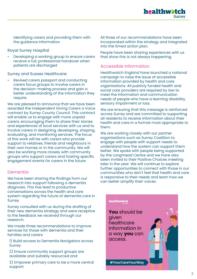identifying carers and providing them with the guidance information

Royal Surrey Hospital

• Developing a working group to ensure carers receive a full, professional handover when patients are discharged

Surrey and Sussex Healthcare:

• Revised carers passport and conducting carers focus groups to involve carers in the decision-making process and gain a better understanding of the information they require.

We are pleased to announce that we have been awarded the independent Giving Carers a Voice contract by Surrey County Council. This contract will enable us to engage with more unpaid carers, encouraging them to share their stories and experiences of local services with us and to involve carers in designing, developing, shaping, evaluating, and monitoring services. The focus of this work will be with carers who provide support to relatives, friends and neighbours in their own homes or in the community. We will also be working more closely with community groups who support carers and hosting specific engagement events for carers in the future.

### **Dementia**

We have been sharing the findings from our research into support following a dementia diagnosis. This has lead to productive conversations across the health and care system regarding the future of dementia care in Surrey.

Surrey consulted with us during the drafting of their new dementia strategy and were receptive to the feedback we received through our research.

We made three recommendations to improve services for those with dementia and their families and carers:

1) Build access to Dementia Navigators across **Surrey** 

2) Ensure community support groups are available and suitably resourced and

3) Empower primary care to be a more central support.

All three of our recommendations have been incorporated within the strategy and integrated into the timed action plan.

healthwatcl

**Surrey** 

People have been sharing experiences with us that show this is not always happening.

### Accessible Information

Healthwatch England have launched a national campaign to raise the issue of accessible information provided by health and care organisations. All publicly funded health and social care providers are required by law to meet the information and communication needs of people who have a learning disability, sensory impairment or loss.

We are ensuring that this message is reinforced across Surrey and are committed to supporting all residents to receive information about their health and care in a format most appropriate to them.

We are working closely with our partner organisations such as Surrey Coalition to engage with people with support needs to understand how the system can support them better. We spoke with people being supported by the Longmead Centre and we have also been invited to their Positive Choices meeting later in the year. We will continue to explore further opportunities to connect with those in our communities who don't feel that health and care is responsive to their needs and learn how we can better amplify their voices.

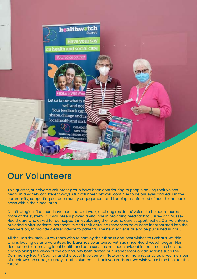

# Our Volunteers

This quarter, our diverse volunteer group have been contributing to people having their voices heard in a variety of different ways. Our volunteer network continue to be our eyes and ears in the community, supporting our community engagement and keeping us informed of health and care news within their local area.

Our Strategic Influencers have been hard at work, enabling residents' voices to be heard across more of the system. Our volunteers played a vital role in providing feedback to Surrey and Sussex Healthcare who asked for our support in evaluating their wound care support leaflet. Our volunteers provided a vital patients' perspective and their detailed responses have been incorporated into the new version, to provide clearer advice to patients. The new leaflet is due to be published in April.

All the Healthwatch Surrey team wish to convey their thanks and best wishes to Barbara Smithin who is leaving us as a volunteer. Barbara has volunteered with us since Healthwatch began. Her dedication to improving local health and care services has been evident in the time she has spent championing the views of the community both across our predecessor organisations such the Community Health Council and the Local Involvement Network and more recently as a key member of Healthwatch Surrey's Surrey Heath volunteers. Thank you Barbara. We wish you all the best for the future.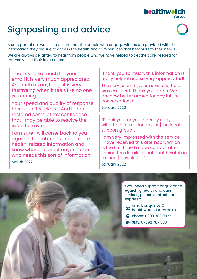# Signposting and advice



**Surrey** 

healthwatch

A core part of our work is to ensure that the people who engage with us are provided with the information they require to access the health and care services that best suits to their needs.

We are always delighted to hear from people who we have helped to get the care needed for themselves or their loved ones:

'Thank you so much for your email it is very much appreciated. As much as anything, it is very frustrating when it feels like no one is listening.

Your speed and quality of response has been first class…..And it has restored some of my confidence that I may be able to resolve the issue for my mum.

I am sure I will come back to you again in the future as I need more health-related information and know where to direct anyone else who needs this sort of information' March 2022

'Thank you so much, this information is really helpful and so very appreciated!

The service and [your advisor's] help was excellent. Thank you again. We are now better armed for any future conversations!'

January 2022.

'Thank you for your speedy reply with the information about [the local support group].

I am very impressed with the service I have received this afternoon, which is the first time I made contact after seeing the details about Healthwatch in [a local] newsletter.'

January 2022

If you need support or guidance regarding health and care services, please contact our Helpdesk:

- email: enquiries@ healthwatchsurrey.co.uk
- **Phone: 0303 303 0023**
- SMS: 07592 787 533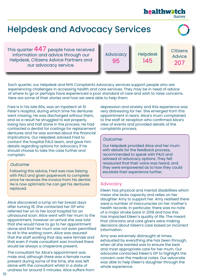# Helpdesk and Advocacy Services

This quarter  $447$  people have received information and advice through our Helpdesk, Citizens Advice Partners and our advocacy service.

**Advocacy** 95

Helpdesk 145

healthwatch

**Citizens** Advice 207

**Surrey** 

Each quarter, our Helpdesk and NHS Complaints Advocacy services support people who are experiencing challenges in accessing health and care services. They may be in need of advice of where to go or perhaps have experienced a poor standard of care and wish to raise concerns. Here are some of their stories and how we were able to help them:

Fred is in his late 80s, was an inpatient at St Peter's Hospital, during which time his dentures went missing. He was discharged without them, and as a result he struggled to eat properly, losing two and half stone in the process. He had contacted a dentist for costings for replacement dentures and he was worried about the financial implications. Our Helpdesk advised Fred to contact the hospital PALS team, and gave him details regarding options for advocacy if he should choose to take the case further and complain.

#### Outcome:

Following this advice, Fred was now liaising with PALS and given paperwork to complete once he receives the invoice from his dentist. He is now optimistic he can get his dentures replaced.

Alice discovered a lump on her breast days after turning 18. She contacted her GP who referred her on to her local hospital for an ultrasound scan. Alice went with her mum to the appointment, however on arrival she was told that she would have to go to her appointment alone and that her mum was not even permitted to sit in the waiting room. Alice was assured that the staff working that day were female and that even if male consultant was involved there would be always a chaperone present.

The consultant for Alice's appointment was male and, although there was a female nurse present during some of the time, she was left alone with the consultant whilst in a state of undress for around 5 minutes. Alice suffers from depression and anxiety and this experience was very distressing for her. She emerged from this appointment in tears. Alice's mum complained to the staff at reception who confirmed Alice's view of events and provided details of the complaints process.

### Outcome:

Our Helpdesk provided Alice and her mum with details for the feedback process, recommended to speak with PALS and advised of advocacy options. They felt reassured that their voice was heard, and they were empowered as to how they could escalate their experience further.

### Advocacy

Eileen has physical and mental disabilities which mean she lacks capacity and relies on her daughter Amy to support her. Amy realised there were a number of inaccuracies on her mother's health records. In particular, there was no note of a major stroke back in 2018 and how this has impacted Eileen's quality of life. The meant that clinicians and care givers were making decisions about Eileen's care based on incorrect information.

Amy was extremely distraught at times, exhausted by everything she has been through, when all she wanted was to ensure the best and most appropriate care for her mum. Our advocate contacted Eileen's GP to highlight the concern over the medical notes. Our advocate was able to help Eileen's daughter through the whole experience.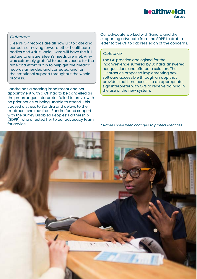### Outcome:

Eileen's GP records are all now up to date and correct, so moving forward other healthcare bodies and Adult Social Care will have the full picture to ensure Eileen's needs are met. Amy was extremely grateful to our advocate for the time and effort put in to help get the medical records amended and corrected and for the emotional support throughout the whole process.

Sandra has a hearing impairment and her appointment with a GP had to be cancelled as the prearranged interpreter failed to arrive, with no prior notice of being unable to attend. This caused distress to Sandra and delays to the treatment she required. Sandra found support with the Surrey Disabled Peoples' Partnership (SDPP), who directed her to our advocacy team for advice.

Our advocate worked with Sandra and the supporting advocate from the SDPP to draft a letter to the GP to address each of the concerns.

#### Outcome:

The GP practice apologised for the inconvenience suffered by Sandra, answered her questions and offered a solution. The GP practice proposed implementing new software accessible through an app that provides real time access to an appropriate sign interpreter with GPs to receive training in the use of the new system.

\* Names have been changed to protect identities.